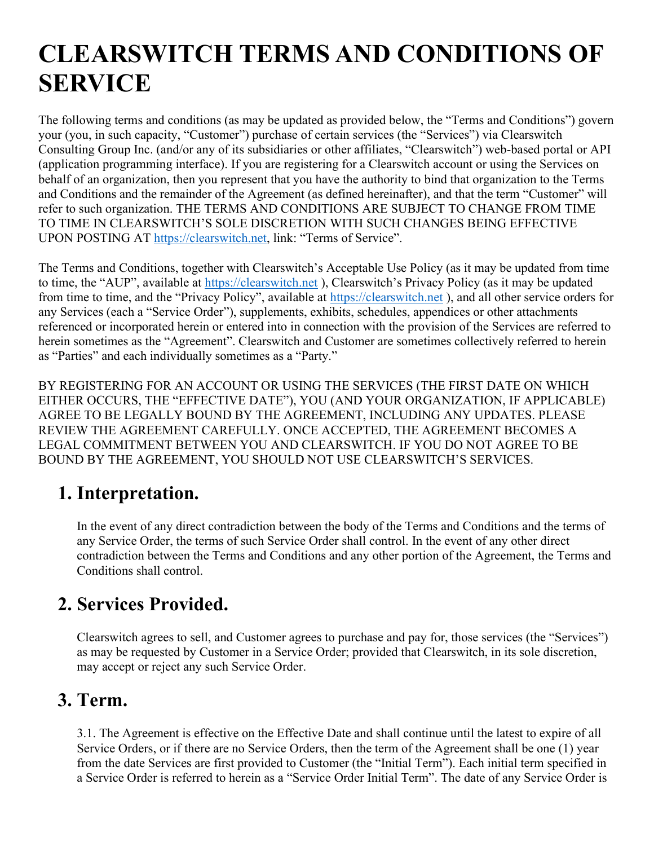# CLEARSWITCH TERMS AND CONDITIONS OF SERVICE

The following terms and conditions (as may be updated as provided below, the "Terms and Conditions") govern your (you, in such capacity, "Customer") purchase of certain services (the "Services") via Clearswitch Consulting Group Inc. (and/or any of its subsidiaries or other affiliates, "Clearswitch") web-based portal or API (application programming interface). If you are registering for a Clearswitch account or using the Services on behalf of an organization, then you represent that you have the authority to bind that organization to the Terms and Conditions and the remainder of the Agreement (as defined hereinafter), and that the term "Customer" will refer to such organization. THE TERMS AND CONDITIONS ARE SUBJECT TO CHANGE FROM TIME TO TIME IN CLEARSWITCH'S SOLE DISCRETION WITH SUCH CHANGES BEING EFFECTIVE UPON POSTING AT https://clearswitch.net, link: "Terms of Service".

The Terms and Conditions, together with Clearswitch's Acceptable Use Policy (as it may be updated from time to time, the "AUP", available at https://clearswitch.net ), Clearswitch's Privacy Policy (as it may be updated from time to time, and the "Privacy Policy", available at https://clearswitch.net ), and all other service orders for any Services (each a "Service Order"), supplements, exhibits, schedules, appendices or other attachments referenced or incorporated herein or entered into in connection with the provision of the Services are referred to herein sometimes as the "Agreement". Clearswitch and Customer are sometimes collectively referred to herein as "Parties" and each individually sometimes as a "Party."

BY REGISTERING FOR AN ACCOUNT OR USING THE SERVICES (THE FIRST DATE ON WHICH EITHER OCCURS, THE "EFFECTIVE DATE"), YOU (AND YOUR ORGANIZATION, IF APPLICABLE) AGREE TO BE LEGALLY BOUND BY THE AGREEMENT, INCLUDING ANY UPDATES. PLEASE REVIEW THE AGREEMENT CAREFULLY. ONCE ACCEPTED, THE AGREEMENT BECOMES A LEGAL COMMITMENT BETWEEN YOU AND CLEARSWITCH. IF YOU DO NOT AGREE TO BE BOUND BY THE AGREEMENT, YOU SHOULD NOT USE CLEARSWITCH'S SERVICES.

# 1. Interpretation.

In the event of any direct contradiction between the body of the Terms and Conditions and the terms of any Service Order, the terms of such Service Order shall control. In the event of any other direct contradiction between the Terms and Conditions and any other portion of the Agreement, the Terms and Conditions shall control.

# 2. Services Provided.

Clearswitch agrees to sell, and Customer agrees to purchase and pay for, those services (the "Services") as may be requested by Customer in a Service Order; provided that Clearswitch, in its sole discretion, may accept or reject any such Service Order.

#### 3. Term.

3.1. The Agreement is effective on the Effective Date and shall continue until the latest to expire of all Service Orders, or if there are no Service Orders, then the term of the Agreement shall be one (1) year from the date Services are first provided to Customer (the "Initial Term"). Each initial term specified in a Service Order is referred to herein as a "Service Order Initial Term". The date of any Service Order is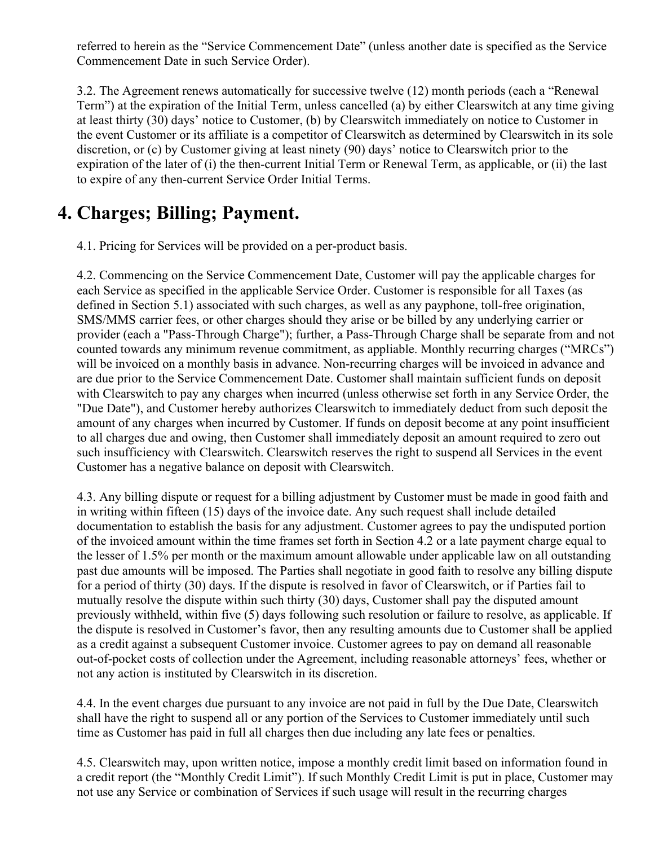referred to herein as the "Service Commencement Date" (unless another date is specified as the Service Commencement Date in such Service Order).

3.2. The Agreement renews automatically for successive twelve (12) month periods (each a "Renewal Term") at the expiration of the Initial Term, unless cancelled (a) by either Clearswitch at any time giving at least thirty (30) days' notice to Customer, (b) by Clearswitch immediately on notice to Customer in the event Customer or its affiliate is a competitor of Clearswitch as determined by Clearswitch in its sole discretion, or (c) by Customer giving at least ninety (90) days' notice to Clearswitch prior to the expiration of the later of (i) the then-current Initial Term or Renewal Term, as applicable, or (ii) the last to expire of any then-current Service Order Initial Terms.

### 4. Charges; Billing; Payment.

4.1. Pricing for Services will be provided on a per-product basis.

4.2. Commencing on the Service Commencement Date, Customer will pay the applicable charges for each Service as specified in the applicable Service Order. Customer is responsible for all Taxes (as defined in Section 5.1) associated with such charges, as well as any payphone, toll-free origination, SMS/MMS carrier fees, or other charges should they arise or be billed by any underlying carrier or provider (each a "Pass-Through Charge"); further, a Pass-Through Charge shall be separate from and not counted towards any minimum revenue commitment, as appliable. Monthly recurring charges ("MRCs") will be invoiced on a monthly basis in advance. Non-recurring charges will be invoiced in advance and are due prior to the Service Commencement Date. Customer shall maintain sufficient funds on deposit with Clearswitch to pay any charges when incurred (unless otherwise set forth in any Service Order, the "Due Date"), and Customer hereby authorizes Clearswitch to immediately deduct from such deposit the amount of any charges when incurred by Customer. If funds on deposit become at any point insufficient to all charges due and owing, then Customer shall immediately deposit an amount required to zero out such insufficiency with Clearswitch. Clearswitch reserves the right to suspend all Services in the event Customer has a negative balance on deposit with Clearswitch.

4.3. Any billing dispute or request for a billing adjustment by Customer must be made in good faith and in writing within fifteen (15) days of the invoice date. Any such request shall include detailed documentation to establish the basis for any adjustment. Customer agrees to pay the undisputed portion of the invoiced amount within the time frames set forth in Section 4.2 or a late payment charge equal to the lesser of 1.5% per month or the maximum amount allowable under applicable law on all outstanding past due amounts will be imposed. The Parties shall negotiate in good faith to resolve any billing dispute for a period of thirty (30) days. If the dispute is resolved in favor of Clearswitch, or if Parties fail to mutually resolve the dispute within such thirty (30) days, Customer shall pay the disputed amount previously withheld, within five (5) days following such resolution or failure to resolve, as applicable. If the dispute is resolved in Customer's favor, then any resulting amounts due to Customer shall be applied as a credit against a subsequent Customer invoice. Customer agrees to pay on demand all reasonable out-of-pocket costs of collection under the Agreement, including reasonable attorneys' fees, whether or not any action is instituted by Clearswitch in its discretion.

4.4. In the event charges due pursuant to any invoice are not paid in full by the Due Date, Clearswitch shall have the right to suspend all or any portion of the Services to Customer immediately until such time as Customer has paid in full all charges then due including any late fees or penalties.

4.5. Clearswitch may, upon written notice, impose a monthly credit limit based on information found in a credit report (the "Monthly Credit Limit"). If such Monthly Credit Limit is put in place, Customer may not use any Service or combination of Services if such usage will result in the recurring charges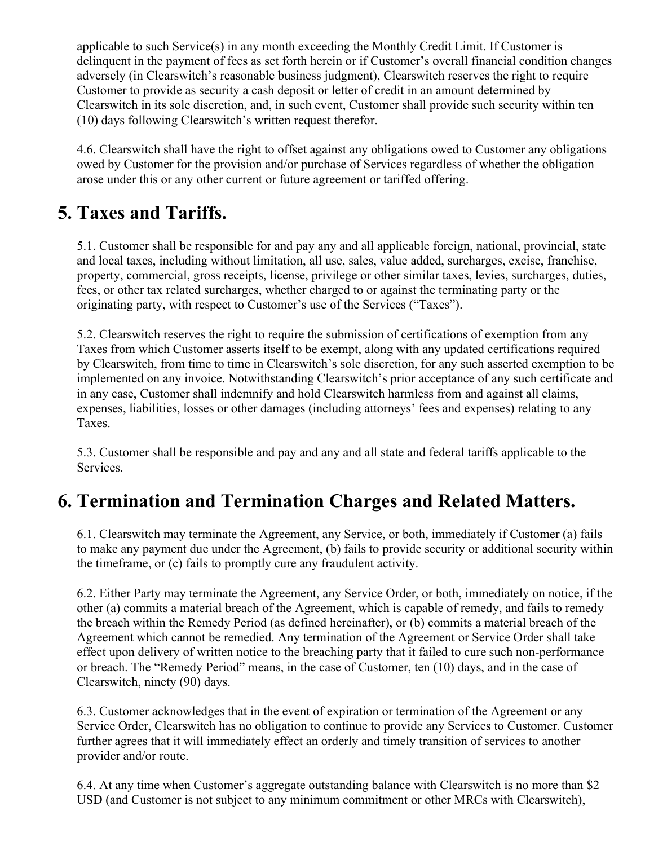applicable to such Service(s) in any month exceeding the Monthly Credit Limit. If Customer is delinquent in the payment of fees as set forth herein or if Customer's overall financial condition changes adversely (in Clearswitch's reasonable business judgment), Clearswitch reserves the right to require Customer to provide as security a cash deposit or letter of credit in an amount determined by Clearswitch in its sole discretion, and, in such event, Customer shall provide such security within ten (10) days following Clearswitch's written request therefor.

4.6. Clearswitch shall have the right to offset against any obligations owed to Customer any obligations owed by Customer for the provision and/or purchase of Services regardless of whether the obligation arose under this or any other current or future agreement or tariffed offering.

# 5. Taxes and Tariffs.

5.1. Customer shall be responsible for and pay any and all applicable foreign, national, provincial, state and local taxes, including without limitation, all use, sales, value added, surcharges, excise, franchise, property, commercial, gross receipts, license, privilege or other similar taxes, levies, surcharges, duties, fees, or other tax related surcharges, whether charged to or against the terminating party or the originating party, with respect to Customer's use of the Services ("Taxes").

5.2. Clearswitch reserves the right to require the submission of certifications of exemption from any Taxes from which Customer asserts itself to be exempt, along with any updated certifications required by Clearswitch, from time to time in Clearswitch's sole discretion, for any such asserted exemption to be implemented on any invoice. Notwithstanding Clearswitch's prior acceptance of any such certificate and in any case, Customer shall indemnify and hold Clearswitch harmless from and against all claims, expenses, liabilities, losses or other damages (including attorneys' fees and expenses) relating to any Taxes.

5.3. Customer shall be responsible and pay and any and all state and federal tariffs applicable to the Services.

#### 6. Termination and Termination Charges and Related Matters.

6.1. Clearswitch may terminate the Agreement, any Service, or both, immediately if Customer (a) fails to make any payment due under the Agreement, (b) fails to provide security or additional security within the timeframe, or (c) fails to promptly cure any fraudulent activity.

6.2. Either Party may terminate the Agreement, any Service Order, or both, immediately on notice, if the other (a) commits a material breach of the Agreement, which is capable of remedy, and fails to remedy the breach within the Remedy Period (as defined hereinafter), or (b) commits a material breach of the Agreement which cannot be remedied. Any termination of the Agreement or Service Order shall take effect upon delivery of written notice to the breaching party that it failed to cure such non-performance or breach. The "Remedy Period" means, in the case of Customer, ten (10) days, and in the case of Clearswitch, ninety (90) days.

6.3. Customer acknowledges that in the event of expiration or termination of the Agreement or any Service Order, Clearswitch has no obligation to continue to provide any Services to Customer. Customer further agrees that it will immediately effect an orderly and timely transition of services to another provider and/or route.

6.4. At any time when Customer's aggregate outstanding balance with Clearswitch is no more than \$2 USD (and Customer is not subject to any minimum commitment or other MRCs with Clearswitch),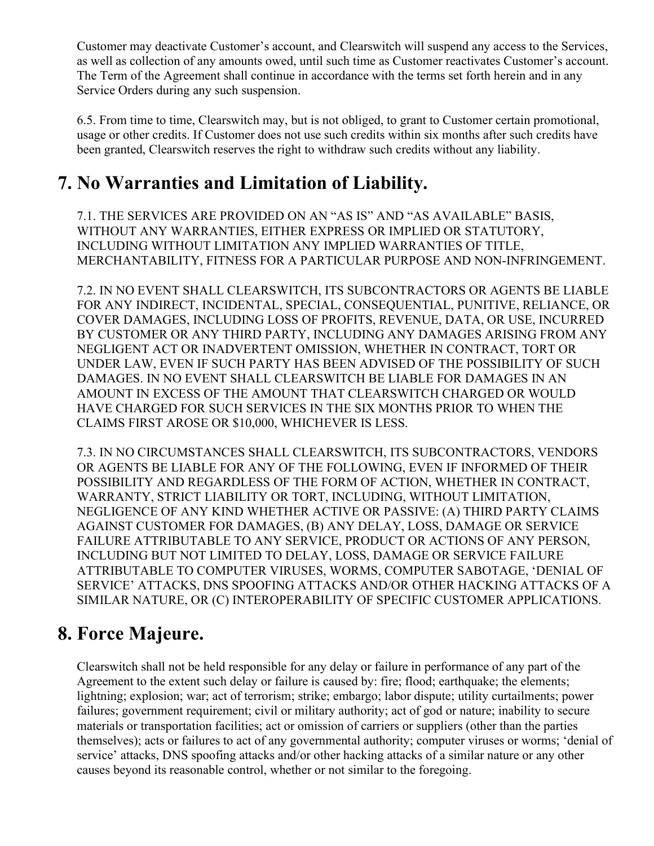Customer may deactivate Customer's account, and Clearswitch will suspend any access to the Services, as well as collection of any amounts owed, until such time as Customer reactivates Customer's account. The Term of the Agreement shall continue in accordance with the terms set forth herein and in any Service Orders during any such suspension.

6.5. From time to time, Clearswitch may, but is not obliged, to grant to Customer certain promotional, usage or other credits. If Customer does not use such credits within six months after such credits have been granted, Clearswitch reserves the right to withdraw such credits without any liability.

# 7. No Warranties and Limitation of Liability.

7.1. THE SERVICES ARE PROVIDED ON AN "AS IS" AND "AS AVAILABLE" BASIS, WITHOUT ANY WARRANTIES, EITHER EXPRESS OR IMPLIED OR STATUTORY, INCLUDING WITHOUT LIMITATION ANY IMPLIED WARRANTIES OF TITLE, MERCHANTABILITY, FITNESS FOR A PARTICULAR PURPOSE AND NON-INFRINGEMENT.

7.2. IN NO EVENT SHALL CLEARSWITCH, ITS SUBCONTRACTORS OR AGENTS BE LIABLE FOR ANY INDIRECT, INCIDENTAL, SPECIAL, CONSEQUENTIAL, PUNITIVE, RELIANCE, OR COVER DAMAGES, INCLUDING LOSS OF PROFITS, REVENUE, DATA, OR USE, INCURRED BY CUSTOMER OR ANY THIRD PARTY, INCLUDING ANY DAMAGES ARISING FROM ANY NEGLIGENT ACT OR INADVERTENT OMISSION, WHETHER IN CONTRACT, TORT OR UNDER LAW, EVEN IF SUCH PARTY HAS BEEN ADVISED OF THE POSSIBILITY OF SUCH DAMAGES. IN NO EVENT SHALL CLEARSWITCH BE LIABLE FOR DAMAGES IN AN AMOUNT IN EXCESS OF THE AMOUNT THAT CLEARSWITCH CHARGED OR WOULD HAVE CHARGED FOR SUCH SERVICES IN THE SIX MONTHS PRIOR TO WHEN THE CLAIMS FIRST AROSE OR \$10,000, WHICHEVER IS LESS.

7.3. IN NO CIRCUMSTANCES SHALL CLEARSWITCH, ITS SUBCONTRACTORS, VENDORS OR AGENTS BE LIABLE FOR ANY OF THE FOLLOWING, EVEN IF INFORMED OF THEIR POSSIBILITY AND REGARDLESS OF THE FORM OF ACTION, WHETHER IN CONTRACT, WARRANTY, STRICT LIABILITY OR TORT, INCLUDING, WITHOUT LIMITATION, NEGLIGENCE OF ANY KIND WHETHER ACTIVE OR PASSIVE: (A) THIRD PARTY CLAIMS AGAINST CUSTOMER FOR DAMAGES, (B) ANY DELAY, LOSS, DAMAGE OR SERVICE FAILURE ATTRIBUTABLE TO ANY SERVICE, PRODUCT OR ACTIONS OF ANY PERSON, INCLUDING BUT NOT LIMITED TO DELAY, LOSS, DAMAGE OR SERVICE FAILURE ATTRIBUTABLE TO COMPUTER VIRUSES, WORMS, COMPUTER SABOTAGE, 'DENIAL OF SERVICE' ATTACKS, DNS SPOOFING ATTACKS AND/OR OTHER HACKING ATTACKS OF A SIMILAR NATURE, OR (C) INTEROPERABILITY OF SPECIFIC CUSTOMER APPLICATIONS.

# 8. Force Majeure.

Clearswitch shall not be held responsible for any delay or failure in performance of any part of the Agreement to the extent such delay or failure is caused by: fire; flood; earthquake; the elements; lightning; explosion; war; act of terrorism; strike; embargo; labor dispute; utility curtailments; power failures; government requirement; civil or military authority; act of god or nature; inability to secure materials or transportation facilities; act or omission of carriers or suppliers (other than the parties themselves); acts or failures to act of any governmental authority; computer viruses or worms; 'denial of service' attacks, DNS spoofing attacks and/or other hacking attacks of a similar nature or any other causes beyond its reasonable control, whether or not similar to the foregoing.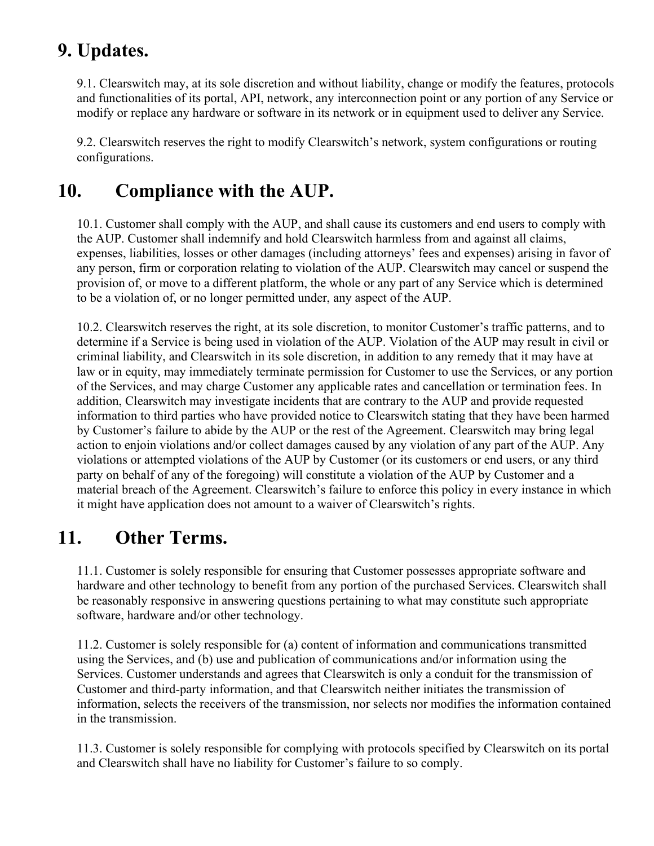### 9. Updates.

9.1. Clearswitch may, at its sole discretion and without liability, change or modify the features, protocols and functionalities of its portal, API, network, any interconnection point or any portion of any Service or modify or replace any hardware or software in its network or in equipment used to deliver any Service.

9.2. Clearswitch reserves the right to modify Clearswitch's network, system configurations or routing configurations.

# 10. Compliance with the AUP.

10.1. Customer shall comply with the AUP, and shall cause its customers and end users to comply with the AUP. Customer shall indemnify and hold Clearswitch harmless from and against all claims, expenses, liabilities, losses or other damages (including attorneys' fees and expenses) arising in favor of any person, firm or corporation relating to violation of the AUP. Clearswitch may cancel or suspend the provision of, or move to a different platform, the whole or any part of any Service which is determined to be a violation of, or no longer permitted under, any aspect of the AUP.

10.2. Clearswitch reserves the right, at its sole discretion, to monitor Customer's traffic patterns, and to determine if a Service is being used in violation of the AUP. Violation of the AUP may result in civil or criminal liability, and Clearswitch in its sole discretion, in addition to any remedy that it may have at law or in equity, may immediately terminate permission for Customer to use the Services, or any portion of the Services, and may charge Customer any applicable rates and cancellation or termination fees. In addition, Clearswitch may investigate incidents that are contrary to the AUP and provide requested information to third parties who have provided notice to Clearswitch stating that they have been harmed by Customer's failure to abide by the AUP or the rest of the Agreement. Clearswitch may bring legal action to enjoin violations and/or collect damages caused by any violation of any part of the AUP. Any violations or attempted violations of the AUP by Customer (or its customers or end users, or any third party on behalf of any of the foregoing) will constitute a violation of the AUP by Customer and a material breach of the Agreement. Clearswitch's failure to enforce this policy in every instance in which it might have application does not amount to a waiver of Clearswitch's rights.

#### 11. Other Terms.

11.1. Customer is solely responsible for ensuring that Customer possesses appropriate software and hardware and other technology to benefit from any portion of the purchased Services. Clearswitch shall be reasonably responsive in answering questions pertaining to what may constitute such appropriate software, hardware and/or other technology.

11.2. Customer is solely responsible for (a) content of information and communications transmitted using the Services, and (b) use and publication of communications and/or information using the Services. Customer understands and agrees that Clearswitch is only a conduit for the transmission of Customer and third-party information, and that Clearswitch neither initiates the transmission of information, selects the receivers of the transmission, nor selects nor modifies the information contained in the transmission.

11.3. Customer is solely responsible for complying with protocols specified by Clearswitch on its portal and Clearswitch shall have no liability for Customer's failure to so comply.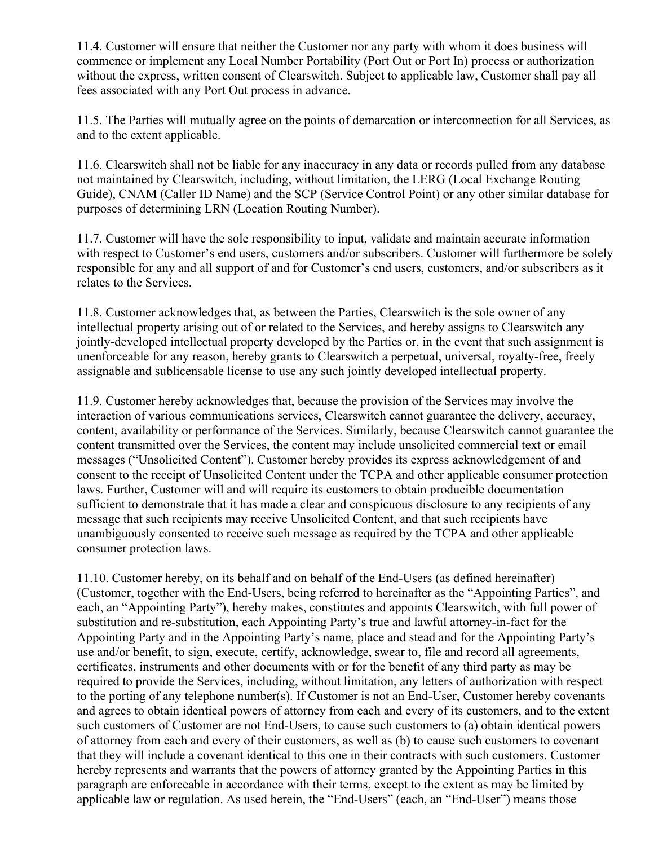11.4. Customer will ensure that neither the Customer nor any party with whom it does business will commence or implement any Local Number Portability (Port Out or Port In) process or authorization without the express, written consent of Clearswitch. Subject to applicable law, Customer shall pay all fees associated with any Port Out process in advance.

11.5. The Parties will mutually agree on the points of demarcation or interconnection for all Services, as and to the extent applicable.

11.6. Clearswitch shall not be liable for any inaccuracy in any data or records pulled from any database not maintained by Clearswitch, including, without limitation, the LERG (Local Exchange Routing Guide), CNAM (Caller ID Name) and the SCP (Service Control Point) or any other similar database for purposes of determining LRN (Location Routing Number).

11.7. Customer will have the sole responsibility to input, validate and maintain accurate information with respect to Customer's end users, customers and/or subscribers. Customer will furthermore be solely responsible for any and all support of and for Customer's end users, customers, and/or subscribers as it relates to the Services.

11.8. Customer acknowledges that, as between the Parties, Clearswitch is the sole owner of any intellectual property arising out of or related to the Services, and hereby assigns to Clearswitch any jointly-developed intellectual property developed by the Parties or, in the event that such assignment is unenforceable for any reason, hereby grants to Clearswitch a perpetual, universal, royalty-free, freely assignable and sublicensable license to use any such jointly developed intellectual property.

11.9. Customer hereby acknowledges that, because the provision of the Services may involve the interaction of various communications services, Clearswitch cannot guarantee the delivery, accuracy, content, availability or performance of the Services. Similarly, because Clearswitch cannot guarantee the content transmitted over the Services, the content may include unsolicited commercial text or email messages ("Unsolicited Content"). Customer hereby provides its express acknowledgement of and consent to the receipt of Unsolicited Content under the TCPA and other applicable consumer protection laws. Further, Customer will and will require its customers to obtain producible documentation sufficient to demonstrate that it has made a clear and conspicuous disclosure to any recipients of any message that such recipients may receive Unsolicited Content, and that such recipients have unambiguously consented to receive such message as required by the TCPA and other applicable consumer protection laws.

11.10. Customer hereby, on its behalf and on behalf of the End-Users (as defined hereinafter) (Customer, together with the End-Users, being referred to hereinafter as the "Appointing Parties", and each, an "Appointing Party"), hereby makes, constitutes and appoints Clearswitch, with full power of substitution and re-substitution, each Appointing Party's true and lawful attorney-in-fact for the Appointing Party and in the Appointing Party's name, place and stead and for the Appointing Party's use and/or benefit, to sign, execute, certify, acknowledge, swear to, file and record all agreements, certificates, instruments and other documents with or for the benefit of any third party as may be required to provide the Services, including, without limitation, any letters of authorization with respect to the porting of any telephone number(s). If Customer is not an End-User, Customer hereby covenants and agrees to obtain identical powers of attorney from each and every of its customers, and to the extent such customers of Customer are not End-Users, to cause such customers to (a) obtain identical powers of attorney from each and every of their customers, as well as (b) to cause such customers to covenant that they will include a covenant identical to this one in their contracts with such customers. Customer hereby represents and warrants that the powers of attorney granted by the Appointing Parties in this paragraph are enforceable in accordance with their terms, except to the extent as may be limited by applicable law or regulation. As used herein, the "End-Users" (each, an "End-User") means those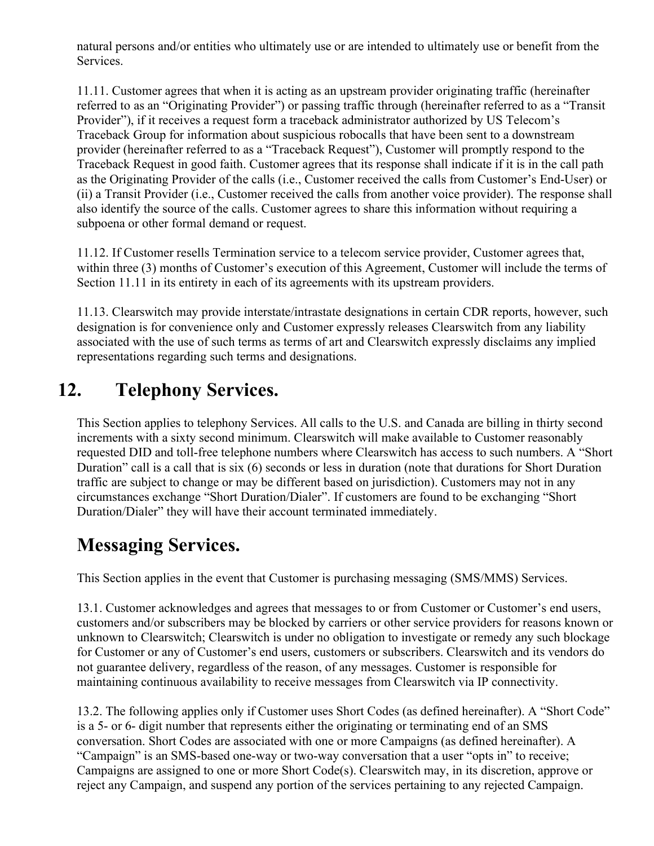natural persons and/or entities who ultimately use or are intended to ultimately use or benefit from the Services.

11.11. Customer agrees that when it is acting as an upstream provider originating traffic (hereinafter referred to as an "Originating Provider") or passing traffic through (hereinafter referred to as a "Transit Provider"), if it receives a request form a traceback administrator authorized by US Telecom's Traceback Group for information about suspicious robocalls that have been sent to a downstream provider (hereinafter referred to as a "Traceback Request"), Customer will promptly respond to the Traceback Request in good faith. Customer agrees that its response shall indicate if it is in the call path as the Originating Provider of the calls (i.e., Customer received the calls from Customer's End-User) or (ii) a Transit Provider (i.e., Customer received the calls from another voice provider). The response shall also identify the source of the calls. Customer agrees to share this information without requiring a subpoena or other formal demand or request.

11.12. If Customer resells Termination service to a telecom service provider, Customer agrees that, within three (3) months of Customer's execution of this Agreement, Customer will include the terms of Section 11.11 in its entirety in each of its agreements with its upstream providers.

11.13. Clearswitch may provide interstate/intrastate designations in certain CDR reports, however, such designation is for convenience only and Customer expressly releases Clearswitch from any liability associated with the use of such terms as terms of art and Clearswitch expressly disclaims any implied representations regarding such terms and designations.

# 12. Telephony Services.

This Section applies to telephony Services. All calls to the U.S. and Canada are billing in thirty second increments with a sixty second minimum. Clearswitch will make available to Customer reasonably requested DID and toll-free telephone numbers where Clearswitch has access to such numbers. A "Short Duration" call is a call that is six (6) seconds or less in duration (note that durations for Short Duration traffic are subject to change or may be different based on jurisdiction). Customers may not in any circumstances exchange "Short Duration/Dialer". If customers are found to be exchanging "Short Duration/Dialer" they will have their account terminated immediately.

# Messaging Services.

This Section applies in the event that Customer is purchasing messaging (SMS/MMS) Services.

13.1. Customer acknowledges and agrees that messages to or from Customer or Customer's end users, customers and/or subscribers may be blocked by carriers or other service providers for reasons known or unknown to Clearswitch; Clearswitch is under no obligation to investigate or remedy any such blockage for Customer or any of Customer's end users, customers or subscribers. Clearswitch and its vendors do not guarantee delivery, regardless of the reason, of any messages. Customer is responsible for maintaining continuous availability to receive messages from Clearswitch via IP connectivity.

13.2. The following applies only if Customer uses Short Codes (as defined hereinafter). A "Short Code" is a 5- or 6- digit number that represents either the originating or terminating end of an SMS conversation. Short Codes are associated with one or more Campaigns (as defined hereinafter). A "Campaign" is an SMS-based one-way or two-way conversation that a user "opts in" to receive; Campaigns are assigned to one or more Short Code(s). Clearswitch may, in its discretion, approve or reject any Campaign, and suspend any portion of the services pertaining to any rejected Campaign.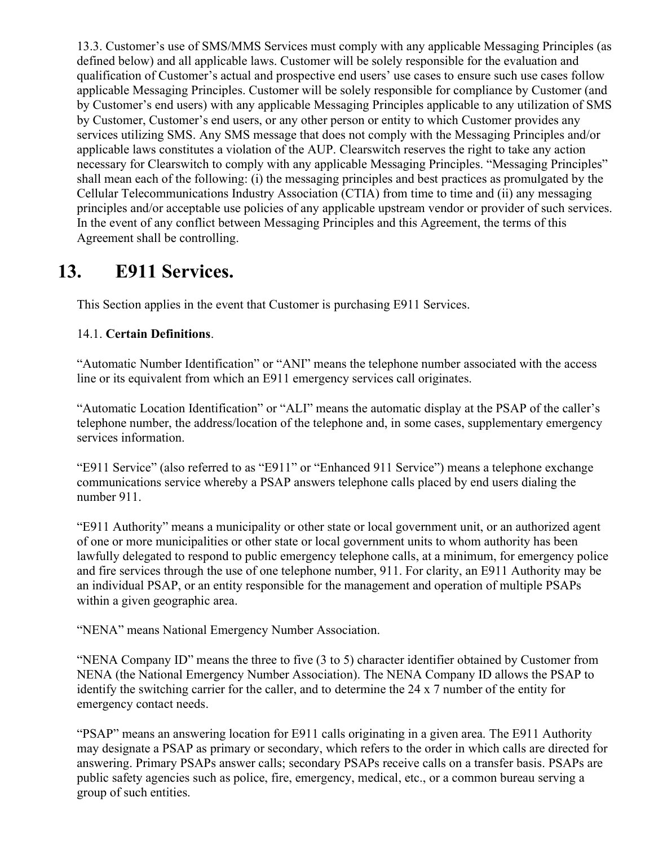13.3. Customer's use of SMS/MMS Services must comply with any applicable Messaging Principles (as defined below) and all applicable laws. Customer will be solely responsible for the evaluation and qualification of Customer's actual and prospective end users' use cases to ensure such use cases follow applicable Messaging Principles. Customer will be solely responsible for compliance by Customer (and by Customer's end users) with any applicable Messaging Principles applicable to any utilization of SMS by Customer, Customer's end users, or any other person or entity to which Customer provides any services utilizing SMS. Any SMS message that does not comply with the Messaging Principles and/or applicable laws constitutes a violation of the AUP. Clearswitch reserves the right to take any action necessary for Clearswitch to comply with any applicable Messaging Principles. "Messaging Principles" shall mean each of the following: (i) the messaging principles and best practices as promulgated by the Cellular Telecommunications Industry Association (CTIA) from time to time and (ii) any messaging principles and/or acceptable use policies of any applicable upstream vendor or provider of such services. In the event of any conflict between Messaging Principles and this Agreement, the terms of this Agreement shall be controlling.

#### 13. E911 Services.

This Section applies in the event that Customer is purchasing E911 Services.

#### 14.1. Certain Definitions.

"Automatic Number Identification" or "ANI" means the telephone number associated with the access line or its equivalent from which an E911 emergency services call originates.

"Automatic Location Identification" or "ALI" means the automatic display at the PSAP of the caller's telephone number, the address/location of the telephone and, in some cases, supplementary emergency services information.

"E911 Service" (also referred to as "E911" or "Enhanced 911 Service") means a telephone exchange communications service whereby a PSAP answers telephone calls placed by end users dialing the number 911.

"E911 Authority" means a municipality or other state or local government unit, or an authorized agent of one or more municipalities or other state or local government units to whom authority has been lawfully delegated to respond to public emergency telephone calls, at a minimum, for emergency police and fire services through the use of one telephone number, 911. For clarity, an E911 Authority may be an individual PSAP, or an entity responsible for the management and operation of multiple PSAPs within a given geographic area.

"NENA" means National Emergency Number Association.

"NENA Company ID" means the three to five (3 to 5) character identifier obtained by Customer from NENA (the National Emergency Number Association). The NENA Company ID allows the PSAP to identify the switching carrier for the caller, and to determine the 24 x 7 number of the entity for emergency contact needs.

"PSAP" means an answering location for E911 calls originating in a given area. The E911 Authority may designate a PSAP as primary or secondary, which refers to the order in which calls are directed for answering. Primary PSAPs answer calls; secondary PSAPs receive calls on a transfer basis. PSAPs are public safety agencies such as police, fire, emergency, medical, etc., or a common bureau serving a group of such entities.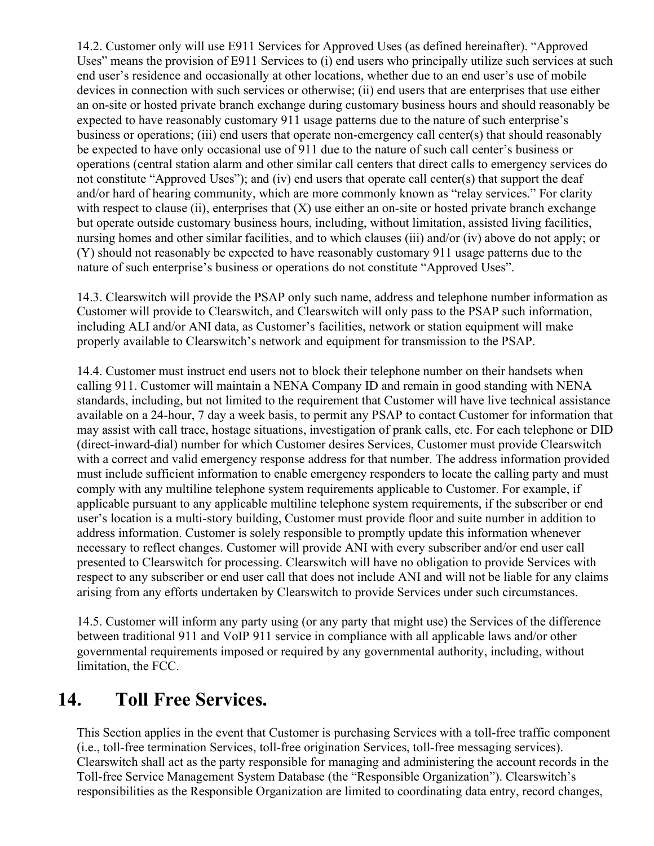14.2. Customer only will use E911 Services for Approved Uses (as defined hereinafter). "Approved Uses" means the provision of E911 Services to (i) end users who principally utilize such services at such end user's residence and occasionally at other locations, whether due to an end user's use of mobile devices in connection with such services or otherwise; (ii) end users that are enterprises that use either an on-site or hosted private branch exchange during customary business hours and should reasonably be expected to have reasonably customary 911 usage patterns due to the nature of such enterprise's business or operations; (iii) end users that operate non-emergency call center(s) that should reasonably be expected to have only occasional use of 911 due to the nature of such call center's business or operations (central station alarm and other similar call centers that direct calls to emergency services do not constitute "Approved Uses"); and (iv) end users that operate call center(s) that support the deaf and/or hard of hearing community, which are more commonly known as "relay services." For clarity with respect to clause (ii), enterprises that  $(X)$  use either an on-site or hosted private branch exchange but operate outside customary business hours, including, without limitation, assisted living facilities, nursing homes and other similar facilities, and to which clauses (iii) and/or (iv) above do not apply; or (Y) should not reasonably be expected to have reasonably customary 911 usage patterns due to the nature of such enterprise's business or operations do not constitute "Approved Uses".

14.3. Clearswitch will provide the PSAP only such name, address and telephone number information as Customer will provide to Clearswitch, and Clearswitch will only pass to the PSAP such information, including ALI and/or ANI data, as Customer's facilities, network or station equipment will make properly available to Clearswitch's network and equipment for transmission to the PSAP.

14.4. Customer must instruct end users not to block their telephone number on their handsets when calling 911. Customer will maintain a NENA Company ID and remain in good standing with NENA standards, including, but not limited to the requirement that Customer will have live technical assistance available on a 24-hour, 7 day a week basis, to permit any PSAP to contact Customer for information that may assist with call trace, hostage situations, investigation of prank calls, etc. For each telephone or DID (direct-inward-dial) number for which Customer desires Services, Customer must provide Clearswitch with a correct and valid emergency response address for that number. The address information provided must include sufficient information to enable emergency responders to locate the calling party and must comply with any multiline telephone system requirements applicable to Customer. For example, if applicable pursuant to any applicable multiline telephone system requirements, if the subscriber or end user's location is a multi-story building, Customer must provide floor and suite number in addition to address information. Customer is solely responsible to promptly update this information whenever necessary to reflect changes. Customer will provide ANI with every subscriber and/or end user call presented to Clearswitch for processing. Clearswitch will have no obligation to provide Services with respect to any subscriber or end user call that does not include ANI and will not be liable for any claims arising from any efforts undertaken by Clearswitch to provide Services under such circumstances.

14.5. Customer will inform any party using (or any party that might use) the Services of the difference between traditional 911 and VoIP 911 service in compliance with all applicable laws and/or other governmental requirements imposed or required by any governmental authority, including, without limitation, the FCC.

#### 14. Toll Free Services.

This Section applies in the event that Customer is purchasing Services with a toll-free traffic component (i.e., toll-free termination Services, toll-free origination Services, toll-free messaging services). Clearswitch shall act as the party responsible for managing and administering the account records in the Toll-free Service Management System Database (the "Responsible Organization"). Clearswitch's responsibilities as the Responsible Organization are limited to coordinating data entry, record changes,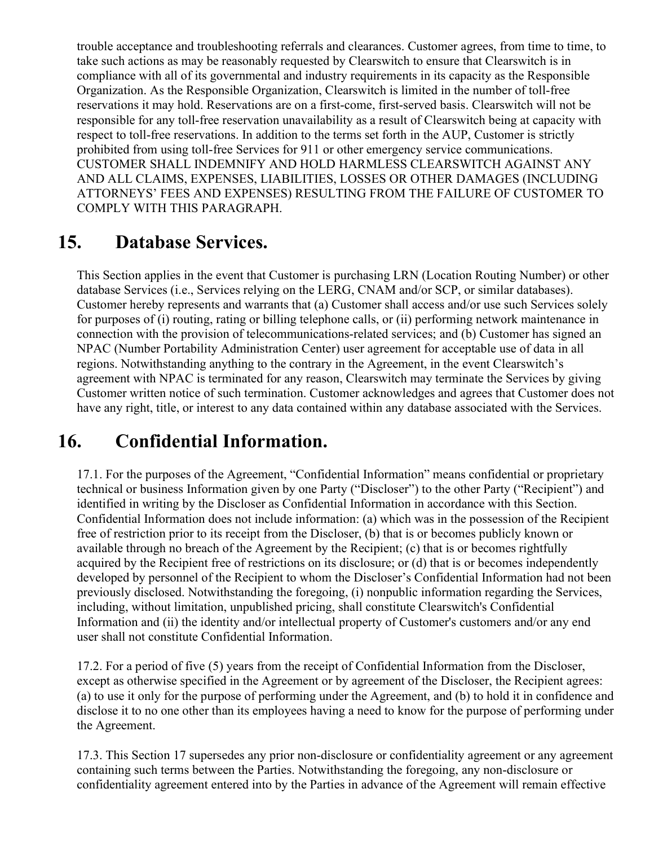trouble acceptance and troubleshooting referrals and clearances. Customer agrees, from time to time, to take such actions as may be reasonably requested by Clearswitch to ensure that Clearswitch is in compliance with all of its governmental and industry requirements in its capacity as the Responsible Organization. As the Responsible Organization, Clearswitch is limited in the number of toll-free reservations it may hold. Reservations are on a first-come, first-served basis. Clearswitch will not be responsible for any toll-free reservation unavailability as a result of Clearswitch being at capacity with respect to toll-free reservations. In addition to the terms set forth in the AUP, Customer is strictly prohibited from using toll-free Services for 911 or other emergency service communications. CUSTOMER SHALL INDEMNIFY AND HOLD HARMLESS CLEARSWITCH AGAINST ANY AND ALL CLAIMS, EXPENSES, LIABILITIES, LOSSES OR OTHER DAMAGES (INCLUDING ATTORNEYS' FEES AND EXPENSES) RESULTING FROM THE FAILURE OF CUSTOMER TO COMPLY WITH THIS PARAGRAPH.

#### 15. Database Services.

This Section applies in the event that Customer is purchasing LRN (Location Routing Number) or other database Services (i.e., Services relying on the LERG, CNAM and/or SCP, or similar databases). Customer hereby represents and warrants that (a) Customer shall access and/or use such Services solely for purposes of (i) routing, rating or billing telephone calls, or (ii) performing network maintenance in connection with the provision of telecommunications-related services; and (b) Customer has signed an NPAC (Number Portability Administration Center) user agreement for acceptable use of data in all regions. Notwithstanding anything to the contrary in the Agreement, in the event Clearswitch's agreement with NPAC is terminated for any reason, Clearswitch may terminate the Services by giving Customer written notice of such termination. Customer acknowledges and agrees that Customer does not have any right, title, or interest to any data contained within any database associated with the Services.

#### 16. Confidential Information.

17.1. For the purposes of the Agreement, "Confidential Information" means confidential or proprietary technical or business Information given by one Party ("Discloser") to the other Party ("Recipient") and identified in writing by the Discloser as Confidential Information in accordance with this Section. Confidential Information does not include information: (a) which was in the possession of the Recipient free of restriction prior to its receipt from the Discloser, (b) that is or becomes publicly known or available through no breach of the Agreement by the Recipient; (c) that is or becomes rightfully acquired by the Recipient free of restrictions on its disclosure; or (d) that is or becomes independently developed by personnel of the Recipient to whom the Discloser's Confidential Information had not been previously disclosed. Notwithstanding the foregoing, (i) nonpublic information regarding the Services, including, without limitation, unpublished pricing, shall constitute Clearswitch's Confidential Information and (ii) the identity and/or intellectual property of Customer's customers and/or any end user shall not constitute Confidential Information.

17.2. For a period of five (5) years from the receipt of Confidential Information from the Discloser, except as otherwise specified in the Agreement or by agreement of the Discloser, the Recipient agrees: (a) to use it only for the purpose of performing under the Agreement, and (b) to hold it in confidence and disclose it to no one other than its employees having a need to know for the purpose of performing under the Agreement.

17.3. This Section 17 supersedes any prior non-disclosure or confidentiality agreement or any agreement containing such terms between the Parties. Notwithstanding the foregoing, any non-disclosure or confidentiality agreement entered into by the Parties in advance of the Agreement will remain effective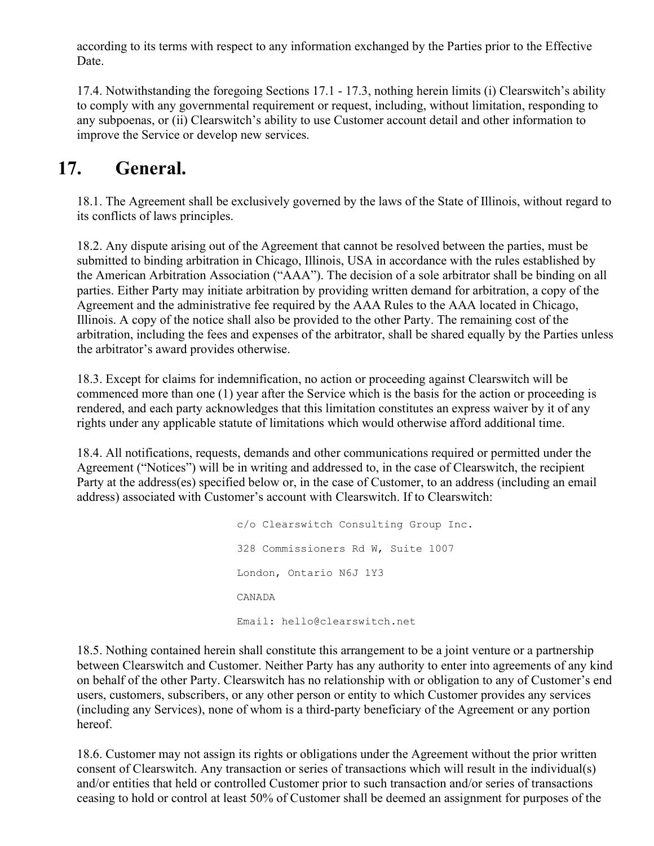according to its terms with respect to any information exchanged by the Parties prior to the Effective Date.

17.4. Notwithstanding the foregoing Sections 17.1 - 17.3, nothing herein limits (i) Clearswitch's ability to comply with any governmental requirement or request, including, without limitation, responding to any subpoenas, or (ii) Clearswitch's ability to use Customer account detail and other information to improve the Service or develop new services.

#### 17. General.

18.1. The Agreement shall be exclusively governed by the laws of the State of Illinois, without regard to its conflicts of laws principles.

18.2. Any dispute arising out of the Agreement that cannot be resolved between the parties, must be submitted to binding arbitration in Chicago, Illinois, USA in accordance with the rules established by the American Arbitration Association ("AAA"). The decision of a sole arbitrator shall be binding on all parties. Either Party may initiate arbitration by providing written demand for arbitration, a copy of the Agreement and the administrative fee required by the AAA Rules to the AAA located in Chicago, Illinois. A copy of the notice shall also be provided to the other Party. The remaining cost of the arbitration, including the fees and expenses of the arbitrator, shall be shared equally by the Parties unless the arbitrator's award provides otherwise.

18.3. Except for claims for indemnification, no action or proceeding against Clearswitch will be commenced more than one (1) year after the Service which is the basis for the action or proceeding is rendered, and each party acknowledges that this limitation constitutes an express waiver by it of any rights under any applicable statute of limitations which would otherwise afford additional time.

18.4. All notifications, requests, demands and other communications required or permitted under the Agreement ("Notices") will be in writing and addressed to, in the case of Clearswitch, the recipient Party at the address(es) specified below or, in the case of Customer, to an address (including an email address) associated with Customer's account with Clearswitch. If to Clearswitch:

> c/o Clearswitch Consulting Group Inc. 328 Commissioners Rd W, Suite 1007 London, Ontario N6J 1Y3 CANADA Email: hello@clearswitch.net

18.5. Nothing contained herein shall constitute this arrangement to be a joint venture or a partnership between Clearswitch and Customer. Neither Party has any authority to enter into agreements of any kind on behalf of the other Party. Clearswitch has no relationship with or obligation to any of Customer's end users, customers, subscribers, or any other person or entity to which Customer provides any services (including any Services), none of whom is a third-party beneficiary of the Agreement or any portion hereof.

18.6. Customer may not assign its rights or obligations under the Agreement without the prior written consent of Clearswitch. Any transaction or series of transactions which will result in the individual(s) and/or entities that held or controlled Customer prior to such transaction and/or series of transactions ceasing to hold or control at least 50% of Customer shall be deemed an assignment for purposes of the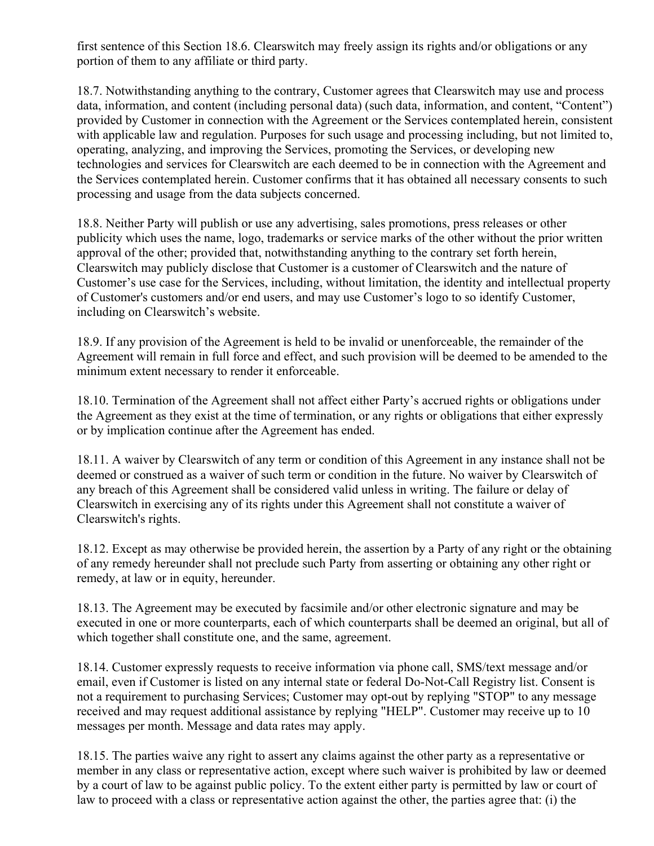first sentence of this Section 18.6. Clearswitch may freely assign its rights and/or obligations or any portion of them to any affiliate or third party.

18.7. Notwithstanding anything to the contrary, Customer agrees that Clearswitch may use and process data, information, and content (including personal data) (such data, information, and content, "Content") provided by Customer in connection with the Agreement or the Services contemplated herein, consistent with applicable law and regulation. Purposes for such usage and processing including, but not limited to, operating, analyzing, and improving the Services, promoting the Services, or developing new technologies and services for Clearswitch are each deemed to be in connection with the Agreement and the Services contemplated herein. Customer confirms that it has obtained all necessary consents to such processing and usage from the data subjects concerned.

18.8. Neither Party will publish or use any advertising, sales promotions, press releases or other publicity which uses the name, logo, trademarks or service marks of the other without the prior written approval of the other; provided that, notwithstanding anything to the contrary set forth herein, Clearswitch may publicly disclose that Customer is a customer of Clearswitch and the nature of Customer's use case for the Services, including, without limitation, the identity and intellectual property of Customer's customers and/or end users, and may use Customer's logo to so identify Customer, including on Clearswitch's website.

18.9. If any provision of the Agreement is held to be invalid or unenforceable, the remainder of the Agreement will remain in full force and effect, and such provision will be deemed to be amended to the minimum extent necessary to render it enforceable.

18.10. Termination of the Agreement shall not affect either Party's accrued rights or obligations under the Agreement as they exist at the time of termination, or any rights or obligations that either expressly or by implication continue after the Agreement has ended.

18.11. A waiver by Clearswitch of any term or condition of this Agreement in any instance shall not be deemed or construed as a waiver of such term or condition in the future. No waiver by Clearswitch of any breach of this Agreement shall be considered valid unless in writing. The failure or delay of Clearswitch in exercising any of its rights under this Agreement shall not constitute a waiver of Clearswitch's rights.

18.12. Except as may otherwise be provided herein, the assertion by a Party of any right or the obtaining of any remedy hereunder shall not preclude such Party from asserting or obtaining any other right or remedy, at law or in equity, hereunder.

18.13. The Agreement may be executed by facsimile and/or other electronic signature and may be executed in one or more counterparts, each of which counterparts shall be deemed an original, but all of which together shall constitute one, and the same, agreement.

18.14. Customer expressly requests to receive information via phone call, SMS/text message and/or email, even if Customer is listed on any internal state or federal Do-Not-Call Registry list. Consent is not a requirement to purchasing Services; Customer may opt-out by replying "STOP" to any message received and may request additional assistance by replying "HELP". Customer may receive up to 10 messages per month. Message and data rates may apply.

18.15. The parties waive any right to assert any claims against the other party as a representative or member in any class or representative action, except where such waiver is prohibited by law or deemed by a court of law to be against public policy. To the extent either party is permitted by law or court of law to proceed with a class or representative action against the other, the parties agree that: (i) the